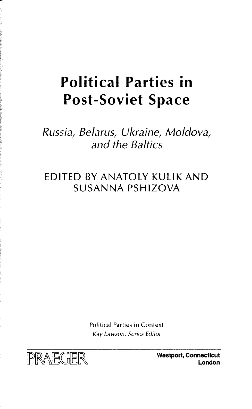## **Political Parties in Post-Soviet Space**

## Russia, Belarus, Ukraine, Moldova, and the Baltics

## EDITED BY ANATOLY KULIK AND SUSANNA PSHIZOVA

Political Parties in Context Kay Lawson, Series Editor

p) **Westport, Connecticut**

**London**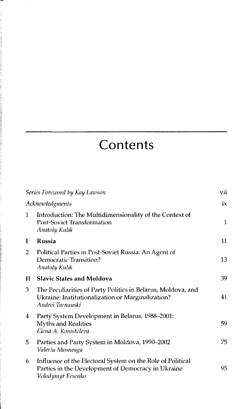## **Contents**

| Series Foreword by Kay Lawson |                                                                                                                                       | vii |
|-------------------------------|---------------------------------------------------------------------------------------------------------------------------------------|-----|
| Acknowledgments               |                                                                                                                                       | ix  |
| 1                             | Introduction: The Multidimensionality of the Context of<br>Post-Soviet Transformation<br>Anatoly Kulik                                | 1   |
| 1                             | Russia                                                                                                                                | 11  |
| 2                             | Political Parties in Post-Soviet Russia: An Agent of<br>Democratic Transition?<br><b>Anatoly Kulik</b>                                | 13  |
| П                             | <b>Slavic States and Moldova</b>                                                                                                      | 39  |
| 3                             | The Peculiarities of Party Politics in Belarus, Moldova, and<br>Ukraine: Institutionalization or Marginalization?<br>Andrei Tarnauski | 41  |
| 4                             | Party System Development in Belarus, 1988–2001:<br><b>Myths and Realities</b><br>Elena A. Korosteleva                                 | 59  |
| 5.                            | Parties and Party System in Moldova, 1990-2002<br>Valeriu Mosneaga                                                                    | 75  |
| 6                             | Influence of the Electoral System on the Role of Political<br>Parties in the Development of Democracy in Ukraine<br>Volodymyr Fesenko | 95  |